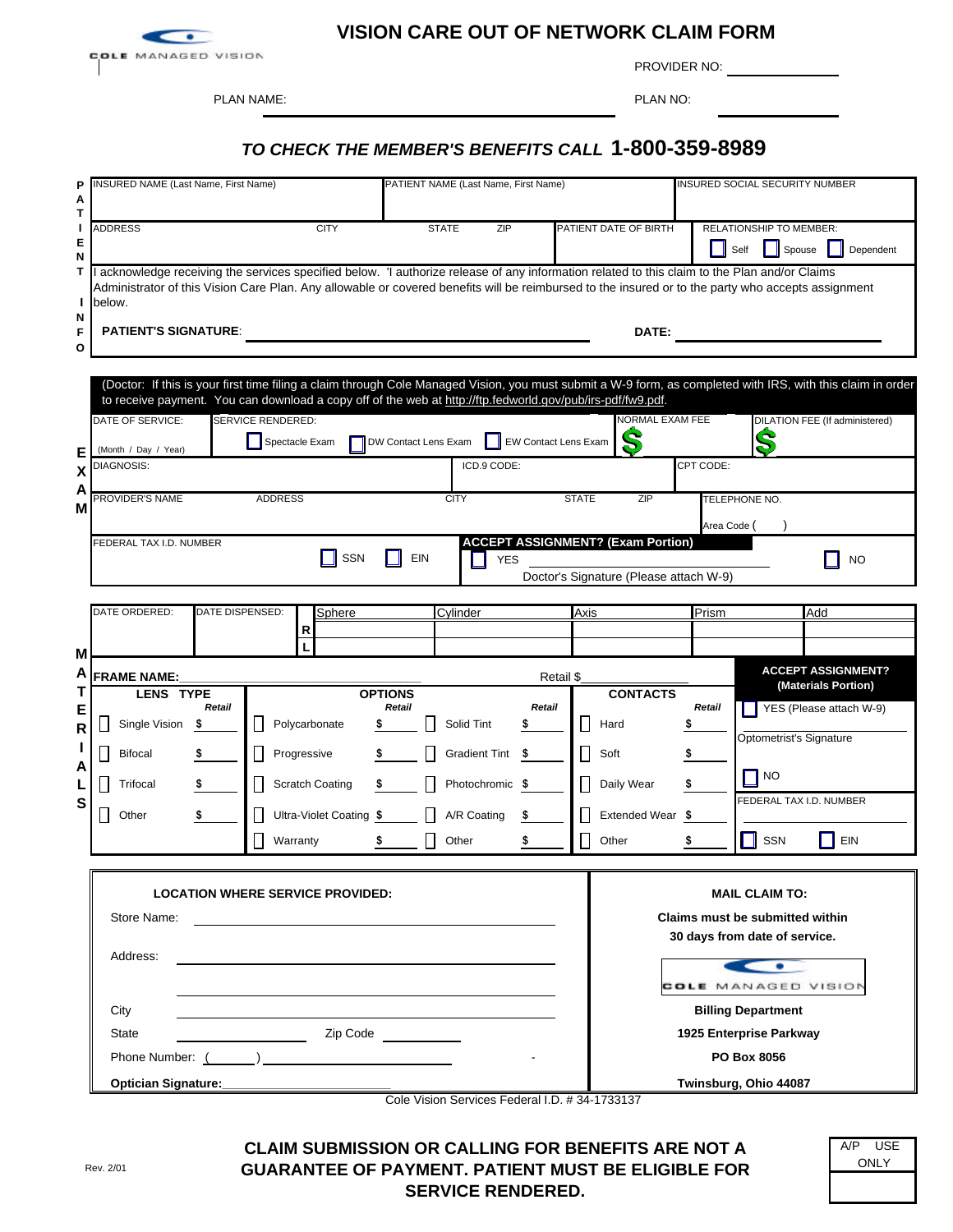

## **VISION CARE OUT OF NETWORK CLAIM FORM**

PLAN NAME: PLAN NO:

PROVIDER NO:

## *TO CHECK THE MEMBER'S BENEFITS CALL* **1-800-359-8989**

| P<br>А<br>Т            | <b>INSURED NAME (Last Name, First Name)</b>                                                                                                                                                                                                                                                                                                 | PATIENT NAME (Last Name, First Name)                                                         | <b>INSURED SOCIAL SECURITY NUMBER</b>                                                                                                                                                                                                     |
|------------------------|---------------------------------------------------------------------------------------------------------------------------------------------------------------------------------------------------------------------------------------------------------------------------------------------------------------------------------------------|----------------------------------------------------------------------------------------------|-------------------------------------------------------------------------------------------------------------------------------------------------------------------------------------------------------------------------------------------|
| L.<br>Е<br>N           | <b>ADDRESS</b><br><b>CITY</b>                                                                                                                                                                                                                                                                                                               | ZIP<br><b>STATE</b>                                                                          | PATIENT DATE OF BIRTH<br><b>RELATIONSHIP TO MEMBER:</b><br>Self<br>Spouse<br>Dependent                                                                                                                                                    |
| T<br>J.<br>N<br>F<br>O | I acknowledge receiving the services specified below. I authorize release of any information related to this claim to the Plan and/or Claims<br>Administrator of this Vision Care Plan. Any allowable or covered benefits will be reimbursed to the insured or to the party who accepts assignment<br>below.<br><b>PATIENT'S SIGNATURE:</b> |                                                                                              | DATE:                                                                                                                                                                                                                                     |
| Е<br>X<br>Α            | to receive payment. You can download a copy off of the web at http://ftp.fedworld.gov/pub/irs-pdf/fw9.pdf.<br>SERVICE RENDERED:<br>DATE OF SERVICE:<br>Spectacle Exam<br>(Month / Day / Year)<br><b>DIAGNOSIS:</b>                                                                                                                          | DW Contact Lens Exam<br>EW Contact Lens Exam<br>ICD.9 CODE:                                  | (Doctor: If this is your first time filing a claim through Cole Managed Vision, you must submit a W-9 form, as completed with IRS, with this claim in order<br><b>NORMAL EXAM FEE</b><br>DILATION FEE (If administered)<br>S<br>CPT CODE: |
| Μ                      | PROVIDER'S NAME<br><b>ADDRESS</b><br>FEDERAL TAX I.D. NUMBER<br>SSN                                                                                                                                                                                                                                                                         | <b>CITY</b><br><b>STATE</b><br><b>ACCEPT ASSIGNMENT? (Exam Portion)</b><br>EIN<br><b>YES</b> | ZIP<br>TELEPHONE NO.<br>Area Code (<br><b>NO</b><br>Doctor's Signature (Please attach W-9)                                                                                                                                                |
| M                      | DATE ORDERED:<br>DATE DISPENSED:<br>Sphere<br>R<br>L                                                                                                                                                                                                                                                                                        | Cylinder<br>Axis                                                                             | Prism<br>Add                                                                                                                                                                                                                              |
| A                      | <b>FRAME NAME:</b>                                                                                                                                                                                                                                                                                                                          | Retail \$                                                                                    | <b>ACCEPT ASSIGNMENT?</b>                                                                                                                                                                                                                 |
| Τ<br>E<br>R            | <b>LENS TYPE</b><br>Retail<br>Single Vision<br>Polycarbonate<br>\$                                                                                                                                                                                                                                                                          | <b>OPTIONS</b><br>Retail<br>Retail<br>Solid Tint<br>ŋ.                                       | (Materials Portion)<br><b>CONTACTS</b><br>Retail<br>YES (Please attach W-9)<br>Hard                                                                                                                                                       |
| A<br>L                 | <b>Bifocal</b><br>Progressive<br><b>Scratch Coating</b><br>Trifocal                                                                                                                                                                                                                                                                         | <b>Gradient Tint</b><br>$\overline{\phantom{a}}$<br>-\$<br>Photochromic \$                   | Optometrist's Signature<br>Soft<br>S<br>NO<br>Daily Wear                                                                                                                                                                                  |
| S                      | Ultra-Violet Coating \$<br>Other<br>Warranty                                                                                                                                                                                                                                                                                                | A/R Coating<br>Other                                                                         | FEDERAL TAX I.D. NUMBER<br>Extended Wear \$<br>SSN<br>EIN<br>Other                                                                                                                                                                        |
|                        | <b>LOCATION WHERE SERVICE PROVIDED:</b><br>Store Name:<br>Address:                                                                                                                                                                                                                                                                          |                                                                                              | <b>MAIL CLAIM TO:</b><br>Claims must be submitted within<br>30 days from date of service.<br>$\sim$<br>COLE MANAGED VISION                                                                                                                |
|                        | City<br><b>State</b>                                                                                                                                                                                                                                                                                                                        |                                                                                              | <b>Billing Department</b><br>1925 Enterprise Parkway<br>PO Box 8056                                                                                                                                                                       |
|                        | Optician Signature:<br><u> 1989 - Johann Barn, amerikansk politiker (d. 1989)</u>                                                                                                                                                                                                                                                           |                                                                                              | Twinsburg, Ohio 44087                                                                                                                                                                                                                     |

Cole Vision Services Federal I.D. # 34-1733137

A/P USE **ONLY** 

**CLAIM SUBMISSION OR CALLING FOR BENEFITS ARE NOT A GUARANTEE OF PAYMENT. PATIENT MUST BE ELIGIBLE FOR SERVICE RENDERED.**

| Rev. 2/01 |  |
|-----------|--|
|           |  |